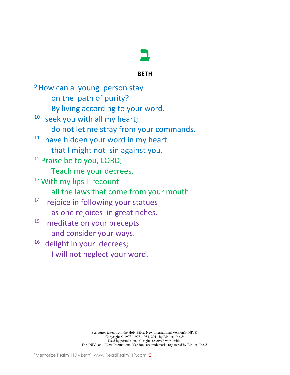

## **BETH**

<sup>9</sup> How can a young person stay on the path of purity? By living according to your word. <sup>10</sup> I seek you with all my heart; do not let me stray from your commands.  $11$  I have hidden your word in my heart that I might not sin against you. <sup>12</sup> Praise be to you, LORD; Teach me your decrees. <sup>13</sup> With my lips I recount all the laws that come from your mouth <sup>14</sup> I rejoice in following your statues as one rejoices in great riches. <sup>15</sup> I meditate on your precepts and consider your ways. <sup>16</sup> I delight in your decrees; I will not neglect your word.